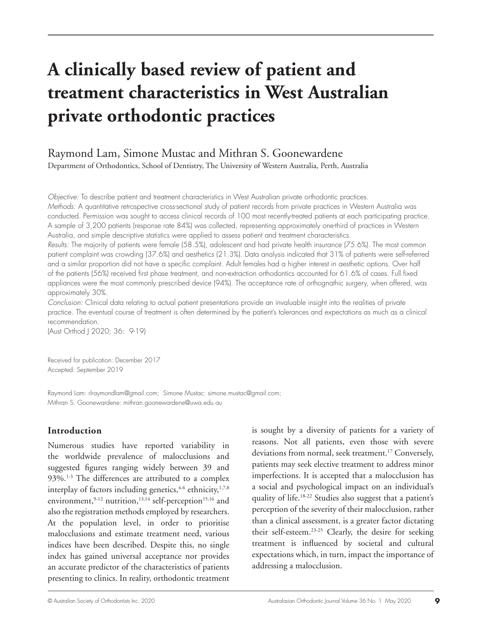# **A clinically based review of patient and treatment characteristics in West Australian private orthodontic practices**

# Raymond Lam, Simone Mustac and Mithran S. Goonewardene

Department of Orthodontics, School of Dentistry, The University of Western Australia, Perth, Australia

*Objective:* To describe patient and treatment characteristics in West Australian private orthodontic practices. *Methods:* A quantitative retrospective cross-sectional study of patient records from private practices in Western Australia was conducted. Permission was sought to access clinical records of 100 most recently-treated patients at each participating practice.

A sample of 3,200 patients (response rate 84%) was collected, representing approximately one-third of practices in Western Australia, and simple descriptive statistics were applied to assess patient and treatment characteristics.

*Results:* The majority of patients were female (58.5%), adolescent and had private health insurance (75.6%). The most common patient complaint was crowding (37.6%) and aesthetics (21.3%). Data analysis indicated that 31% of patients were self-referred and a similar proportion did not have a specific complaint. Adult females had a higher interest in aesthetic options. Over half of the patients (56%) received first phase treatment, and non-extraction orthodontics accounted for 61.6% of cases. Full fixed appliances were the most commonly prescribed device (94%). The acceptance rate of orthognathic surgery, when offered, was approximately 30%.

*Conclusion:* Clinical data relating to actual patient presentations provide an invaluable insight into the realities of private practice. The eventual course of treatment is often determined by the patient's tolerances and expectations as much as a clinical recommendation.

(Aust Orthod J 2020; 36: 9-19)

Received for publication: December 2017 Accepted: September 2019

Raymond Lam: rlraymondlam@gmail.com; Simone Mustac: simone.mustac@gmail.com; Mithran S. Goonewardene: mithran.goonewardene@uwa.edu.au

# **Introduction**

Numerous studies have reported variability in the worldwide prevalence of malocclusions and suggested figures ranging widely between 39 and 93%.<sup>1-3</sup> The differences are attributed to a complex interplay of factors including genetics,  $4-6$  ethnicity,  $1,7,8$ environment,  $9-12$  nutrition,  $13,14$  self-perception<sup>15,16</sup> and also the registration methods employed by researchers. At the population level, in order to prioritise malocclusions and estimate treatment need, various indices have been described. Despite this, no single index has gained universal acceptance nor provides an accurate predictor of the characteristics of patients presenting to clinics. In reality, orthodontic treatment

is sought by a diversity of patients for a variety of reasons. Not all patients, even those with severe deviations from normal, seek treatment.<sup>17</sup> Conversely, patients may seek elective treatment to address minor imperfections. It is accepted that a malocclusion has a social and psychological impact on an individual's quality of life.18-22 Studies also suggest that a patient's perception of the severity of their malocclusion, rather than a clinical assessment, is a greater factor dictating their self-esteem.23-25 Clearly, the desire for seeking treatment is influenced by societal and cultural expectations which, in turn, impact the importance of addressing a malocclusion.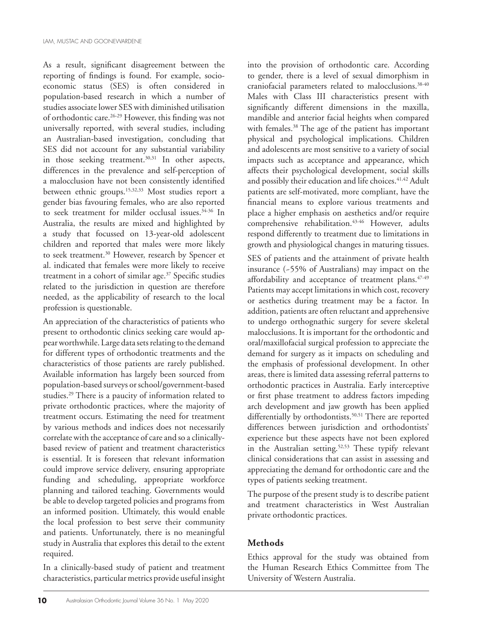As a result, significant disagreement between the reporting of findings is found. For example, socioeconomic status (SES) is often considered in population-based research in which a number of studies associate lower SES with diminished utilisation of orthodontic care.26-29 However, this finding was not universally reported, with several studies, including an Australian-based investigation, concluding that SES did not account for any substantial variability in those seeking treatment.<sup>30,31</sup> In other aspects, differences in the prevalence and self-perception of a malocclusion have not been consistently identified between ethnic groups.15,32,33 Most studies report a gender bias favouring females, who are also reported to seek treatment for milder occlusal issues.<sup>34-36</sup> In Australia, the results are mixed and highlighted by a study that focussed on 13-year-old adolescent children and reported that males were more likely to seek treatment.<sup>30</sup> However, research by Spencer et al. indicated that females were more likely to receive treatment in a cohort of similar age.37 Specific studies related to the jurisdiction in question are therefore needed, as the applicability of research to the local profession is questionable.

An appreciation of the characteristics of patients who present to orthodontic clinics seeking care would appear worthwhile. Large data sets relating to the demand for different types of orthodontic treatments and the characteristics of those patients are rarely published. Available information has largely been sourced from population-based surveys or school/government-based studies.29 There is a paucity of information related to private orthodontic practices, where the majority of treatment occurs. Estimating the need for treatment by various methods and indices does not necessarily correlate with the acceptance of care and so a clinicallybased review of patient and treatment characteristics is essential. It is foreseen that relevant information could improve service delivery, ensuring appropriate funding and scheduling, appropriate workforce planning and tailored teaching. Governments would be able to develop targeted policies and programs from an informed position. Ultimately, this would enable the local profession to best serve their community and patients. Unfortunately, there is no meaningful study in Australia that explores this detail to the extent required.

In a clinically-based study of patient and treatment characteristics, particular metrics provide useful insight

into the provision of orthodontic care. According to gender, there is a level of sexual dimorphism in craniofacial parameters related to malocclusions.38-40 Males with Class III characteristics present with significantly different dimensions in the maxilla, mandible and anterior facial heights when compared with females.<sup>38</sup> The age of the patient has important physical and psychological implications. Children and adolescents are most sensitive to a variety of social impacts such as acceptance and appearance, which affects their psychological development, social skills and possibly their education and life choices.<sup>41,42</sup> Adult patients are self-motivated, more compliant, have the financial means to explore various treatments and place a higher emphasis on aesthetics and/or require comprehensive rehabilitation.<sup>43-46</sup> However, adults respond differently to treatment due to limitations in growth and physiological changes in maturing tissues.

SES of patients and the attainment of private health insurance (~55% of Australians) may impact on the affordability and acceptance of treatment plans.  $47-49$ Patients may accept limitations in which cost, recovery or aesthetics during treatment may be a factor. In addition, patients are often reluctant and apprehensive to undergo orthognathic surgery for severe skeletal malocclusions. It is important for the orthodontic and oral/maxillofacial surgical profession to appreciate the demand for surgery as it impacts on scheduling and the emphasis of professional development. In other areas, there is limited data assessing referral patterns to orthodontic practices in Australia. Early interceptive or first phase treatment to address factors impeding arch development and jaw growth has been applied differentially by orthodontists.<sup>50,51</sup> There are reported differences between jurisdiction and orthodontists' experience but these aspects have not been explored in the Australian setting.<sup>52,53</sup> These typify relevant clinical considerations that can assist in assessing and appreciating the demand for orthodontic care and the types of patients seeking treatment.

The purpose of the present study is to describe patient and treatment characteristics in West Australian private orthodontic practices.

# **Methods**

Ethics approval for the study was obtained from the Human Research Ethics Committee from The University of Western Australia.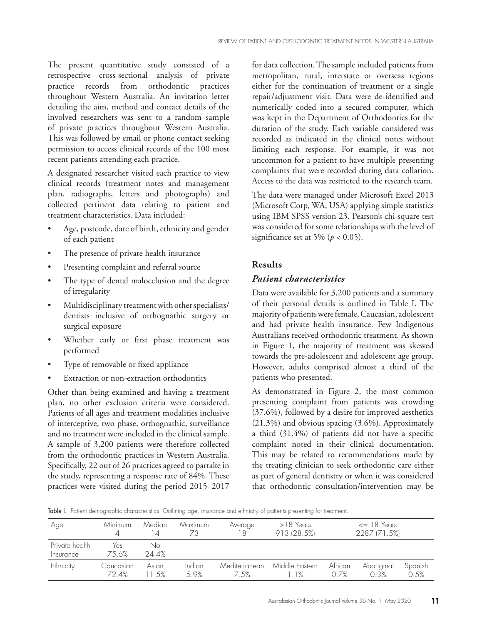The present quantitative study consisted of a retrospective cross-sectional analysis of private practice records from orthodontic practices throughout Western Australia. An invitation letter detailing the aim, method and contact details of the involved researchers was sent to a random sample of private practices throughout Western Australia. This was followed by email or phone contact seeking permission to access clinical records of the 100 most recent patients attending each practice.

A designated researcher visited each practice to view clinical records (treatment notes and management plan, radiographs, letters and photographs) and collected pertinent data relating to patient and treatment characteristics. Data included:

- Age, postcode, date of birth, ethnicity and gender of each patient
- The presence of private health insurance
- Presenting complaint and referral source
- The type of dental malocclusion and the degree of irregularity
- Multidisciplinary treatment with other specialists/ dentists inclusive of orthognathic surgery or surgical exposure
- Whether early or first phase treatment was performed
- Type of removable or fixed appliance
- Extraction or non-extraction orthodontics

Other than being examined and having a treatment plan, no other exclusion criteria were considered. Patients of all ages and treatment modalities inclusive of interceptive, two phase, orthognathic, surveillance and no treatment were included in the clinical sample. A sample of 3,200 patients were therefore collected from the orthodontic practices in Western Australia. Specifically, 22 out of 26 practices agreed to partake in the study, representing a response rate of 84%. These practices were visited during the period 2015–2017

for data collection. The sample included patients from metropolitan, rural, interstate or overseas regions either for the continuation of treatment or a single repair/adjustment visit. Data were de-identified and numerically coded into a secured computer, which was kept in the Department of Orthodontics for the duration of the study. Each variable considered was recorded as indicated in the clinical notes without limiting each response. For example, it was not uncommon for a patient to have multiple presenting complaints that were recorded during data collation. Access to the data was restricted to the research team.

The data were managed under Microsoft Excel 2013 (Microsoft Corp, WA, USA) applying simple statistics using IBM SPSS version 23. Pearson's chi-square test was considered for some relationships with the level of significance set at 5% ( $p < 0.05$ ).

# **Results**

# *Patient characteristics*

Data were available for 3,200 patients and a summary of their personal details is outlined in Table I. The majority of patients were female, Caucasian, adolescent and had private health insurance. Few Indigenous Australians received orthodontic treatment. As shown in Figure 1, the majority of treatment was skewed towards the pre-adolescent and adolescent age group. However, adults comprised almost a third of the patients who presented.

As demonstrated in Figure 2, the most common presenting complaint from patients was crowding (37.6%), followed by a desire for improved aesthetics (21.3%) and obvious spacing (3.6%). Approximately a third (31.4%) of patients did not have a specific complaint noted in their clinical documentation. This may be related to recommendations made by the treating clinician to seek orthodontic care either as part of general dentistry or when it was considered that orthodontic consultation/intervention may be

Table I. Patient demographic characteristics. Outlining age, insurance and ethnicity of patients presenting for treatment.

| Age                         | Minimum            | Median<br>14   | Maximum               | Average<br>18         | $>18$ Years<br>913 (28.5%) | $\epsilon$ 18 Years<br>2287 (71.5%) |                    |                 |
|-----------------------------|--------------------|----------------|-----------------------|-----------------------|----------------------------|-------------------------------------|--------------------|-----------------|
| Private health<br>Insurance | Yes<br>7.5 6%      | No<br>24.4%    |                       |                       |                            |                                     |                    |                 |
| Ethnicity                   | Caucasian<br>72.4% | Asian<br>11.5% | <i>Indian</i><br>.59% | Mediterranean<br>7.5% | Middle Eastern<br>$1.1\%$  | African<br>O 7%                     | Aboriginal<br>0.3% | Spanish<br>0.5% |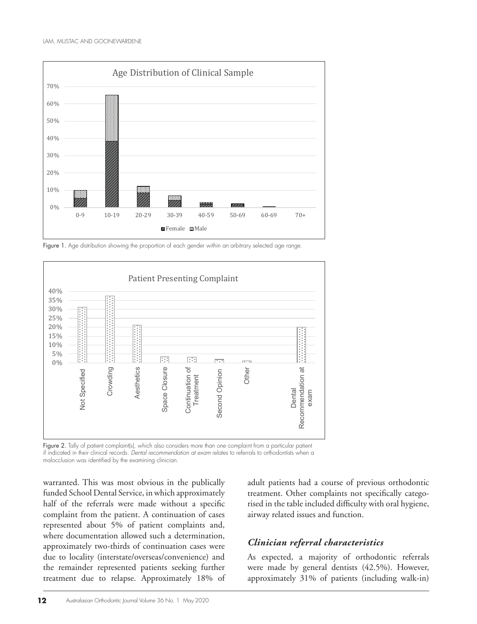

Figure 1. Age distribution showing the proportion of each gender within an arbitrary selected age range.



**Figure 2.** Tally of patient complaint(s), which also considers more than one complaint from a particular patient if indicated in their clinical records. *Dental recommendation at exam* relates to referrals to orthodontists when a malocclusion was identified by the examining clinician.

warranted. This was most obvious in the publically funded School Dental Service, in which approximately half of the referrals were made without a specific complaint from the patient. A continuation of cases represented about 5% of patient complaints and, where documentation allowed such a determination, approximately two-thirds of continuation cases were due to locality (interstate/overseas/convenience) and the remainder represented patients seeking further treatment due to relapse. Approximately 18% of adult patients had a course of previous orthodontic treatment. Other complaints not specifically categorised in the table included difficulty with oral hygiene, airway related issues and function.

# *Clinician referral characteristics* 1

As expected, a majority of orthodontic referrals were made by general dentists (42.5%). However, approximately 31% of patients (including walk-in)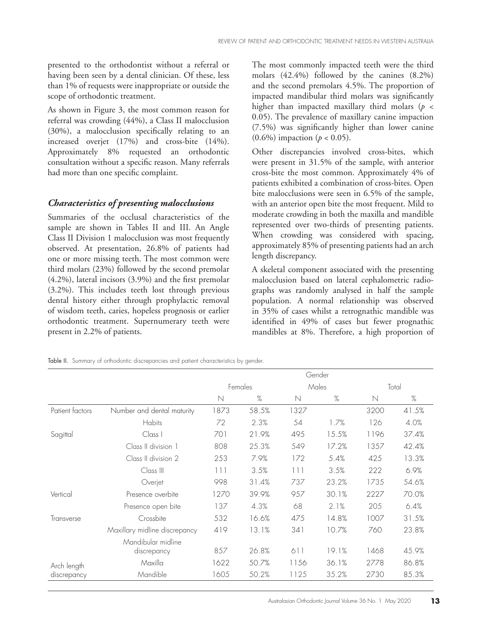presented to the orthodontist without a referral or having been seen by a dental clinician. Of these, less than 1% of requests were inappropriate or outside the scope of orthodontic treatment.

As shown in Figure 3, the most common reason for referral was crowding (44%), a Class II malocclusion (30%), a malocclusion specifically relating to an increased overjet (17%) and cross-bite (14%). Approximately 8% requested an orthodontic consultation without a specific reason. Many referrals had more than one specific complaint.

# *Characteristics of presenting malocclusions*

Summaries of the occlusal characteristics of the sample are shown in Tables II and III. An Angle Class II Division 1 malocclusion was most frequently observed. At presentation, 26.8% of patients had one or more missing teeth. The most common were third molars (23%) followed by the second premolar (4.2%), lateral incisors (3.9%) and the first premolar (3.2%). This includes teeth lost through previous dental history either through prophylactic removal of wisdom teeth, caries, hopeless prognosis or earlier orthodontic treatment. Supernumerary teeth were present in 2.2% of patients.

The most commonly impacted teeth were the third molars (42.4%) followed by the canines (8.2%) and the second premolars 4.5%. The proportion of impacted mandibular third molars was significantly higher than impacted maxillary third molars ( $p \leq$ 0.05). The prevalence of maxillary canine impaction (7.5%) was significantly higher than lower canine (0.6%) impaction (*p* < 0.05).

Other discrepancies involved cross-bites, which were present in 31.5% of the sample, with anterior cross-bite the most common. Approximately 4% of patients exhibited a combination of cross-bites. Open bite malocclusions were seen in 6.5% of the sample, with an anterior open bite the most frequent. Mild to moderate crowding in both the maxilla and mandible represented over two-thirds of presenting patients. When crowding was considered with spacing, approximately 85% of presenting patients had an arch length discrepancy.

A skeletal component associated with the presenting malocclusion based on lateral cephalometric radiographs was randomly analysed in half the sample population. A normal relationship was observed in 35% of cases whilst a retrognathic mandible was identified in 49% of cases but fewer prognathic mandibles at 8%. Therefore, a high proportion of

Table II. Summary of orthodontic discrepancies and patient characteristics by gender.

|                            |                                   | Gender      |       |             |       |       |       |
|----------------------------|-----------------------------------|-------------|-------|-------------|-------|-------|-------|
|                            |                                   | Females     |       | Males       |       | Total |       |
|                            |                                   | $\mathbb N$ | %     | $\mathbb N$ | $\%$  | N     | %     |
| Patient factors            | Number and dental maturity        | 1873        | 58.5% | 1327        |       | 3200  | 41.5% |
| Sagittal<br>Vertical       | Habits                            | 72          | 2.3%  | 54          | 1.7%  | 126   | 4.0%  |
|                            | Class I                           | 701         | 21.9% | 495         | 15.5% | 1196  | 37.4% |
|                            | Class II division 1               | 808         | 25.3% | 549         | 17.2% | 1357  | 42.4% |
|                            | Class II division 2               | 253         | 7.9%  | 172         | 5.4%  | 425   | 13.3% |
|                            | Class III                         | 111         | 3.5%  | 111         | 3.5%  | 222   | 6.9%  |
|                            | Overjet                           | 998         | 31.4% | 737         | 23.2% | 1735  | 54.6% |
|                            | Presence overbite                 | 1270        | 39.9% | 957         | 30.1% | 2227  | 70.0% |
|                            | Presence open bite                | 137         | 4.3%  | 68          | 2.1%  | 205   | 6.4%  |
| Transverse                 | Crossbite                         | 532         | 16.6% | 475         | 14.8% | 1007  | 31.5% |
|                            | Maxillary midline discrepancy     | 419         | 13.1% | 341         | 10.7% | 760   | 23.8% |
|                            | Mandibular midline<br>discrepancy | 857         | 26.8% | 611         | 19.1% | 1468  | 45.9% |
| Arch length<br>discrepancy | Maxilla                           | 1622        | 50.7% | 1156        | 36.1% | 2778  | 86.8% |
|                            | Mandible                          | 1605        | 50.2% | 1125        | 35.2% | 2730  | 85.3% |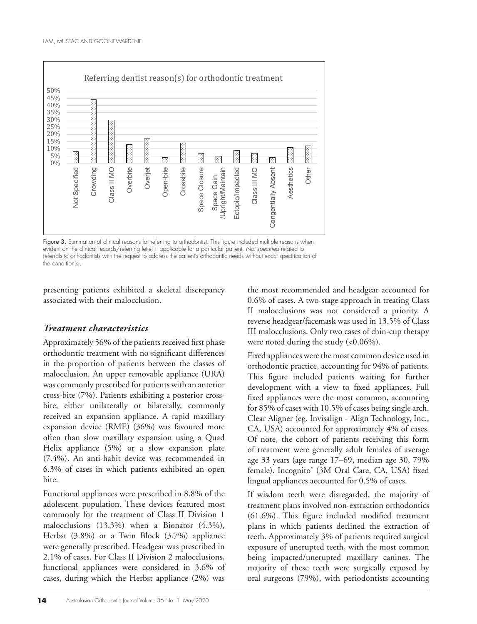

**Figure 3.** evident on the clinical records/referring letter if applicable for a particular patient. *Not specified* related to Figure 3. Summation of clinical reasons for referring to orthodontist. This figure included multiple reasons when referrals to orthodontists with the request to address the patient's orthodontic needs without exact specification of the condition(s).

presenting patients exhibited a skeletal discrepancy associated with their malocclusion.

# *Treatment characteristics*

Approximately 56% of the patients received first phase orthodontic treatment with no significant differences in the proportion of patients between the classes of malocclusion. An upper removable appliance (URA) was commonly prescribed for patients with an anterior cross-bite (7%). Patients exhibiting a posterior crossbite, either unilaterally or bilaterally, commonly received an expansion appliance. A rapid maxillary expansion device (RME) (36%) was favoured more often than slow maxillary expansion using a Quad Helix appliance (5%) or a slow expansion plate (7.4%). An anti-habit device was recommended in 6.3% of cases in which patients exhibited an open bite.

Functional appliances were prescribed in 8.8% of the adolescent population. These devices featured most commonly for the treatment of Class II Division 1 malocclusions (13.3%) when a Bionator (4.3%), Herbst (3.8%) or a Twin Block (3.7%) appliance were generally prescribed. Headgear was prescribed in 2.1% of cases. For Class II Division 2 malocclusions, functional appliances were considered in 3.6% of cases, during which the Herbst appliance (2%) was

the most recommended and headgear accounted for 0.6% of cases. A two-stage approach in treating Class II malocclusions was not considered a priority. A reverse headgear/facemask was used in 13.5% of Class III malocclusions. Only two cases of chin-cup therapy were noted during the study (<0.06%).

Fixed appliances were the most common device used in orthodontic practice, accounting for 94% of patients. This figure included patients waiting for further development with a view to fixed appliances. Full fixed appliances were the most common, accounting for 85% of cases with 10.5% of cases being single arch. Clear Aligner (eg. Invisalign - Align Technology, Inc., CA, USA) accounted for approximately 4% of cases. Of note, the cohort of patients receiving this form of treatment were generally adult females of average age 33 years (age range 17–69, median age 30, 79% female). Incognito<sup>¥</sup> (3M Oral Care, CA, USA) fixed lingual appliances accounted for 0.5% of cases.

(61.6%). This figure included modified treatment If wisdom teeth were disregarded, the majority of treatment plans involved non-extraction orthodontics plans in which patients declined the extraction of teeth. Approximately 3% of patients required surgical exposure of unerupted teeth, with the most common being impacted/unerupted maxillary canines. The majority of these teeth were surgically exposed by oral surgeons (79%), with periodontists accounting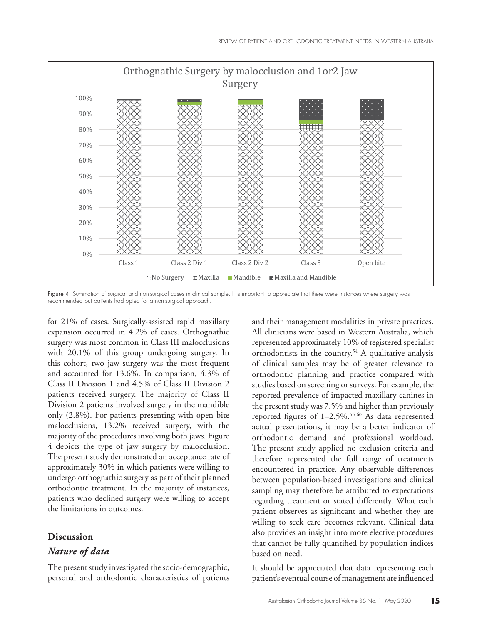

recommended but patients had opted for a non-surgical approach.<br>' Figure 4. Summation of surgical and non-surgical cases in clinical sample. It is important to appreciate that there were instances where surgery was

for 21% of cases. Surgically-assisted rapid maxillary expansion occurred in 4.2% of cases. Orthognathic surgery was most common in Class III malocclusions with 20.1% of this group undergoing surgery. In this cohort, two jaw surgery was the most frequent and accounted for 13.6%. In comparison, 4.3% of Class II Division 1 and 4.5% of Class II Division 2 patients received surgery. The majority of Class II Division 2 patients involved surgery in the mandible only (2.8%). For patients presenting with open bite malocclusions, 13.2% received surgery, with the majority of the procedures involving both jaws. Figure 4 depicts the type of jaw surgery by malocclusion. The present study demonstrated an acceptance rate of approximately 30% in which patients were willing to undergo orthognathic surgery as part of their planned orthodontic treatment. In the majority of instances, patients who declined surgery were willing to accept the limitations in outcomes.

#### **Discussion**

#### *Nature of data*

The present study investigated the socio-demographic, personal and orthodontic characteristics of patients and their management modalities in private practices. All clinicians were based in Western Australia, which represented approximately 10% of registered specialist orthodontists in the country.<sup>54</sup> A qualitative analysis of clinical samples may be of greater relevance to orthodontic planning and practice compared with studies based on screening or surveys. For example, the reported prevalence of impacted maxillary canines in the present study was 7.5% and higher than previously reported figures of 1-2.5%.<sup>55-60</sup> As data represented actual presentations, it may be a better indicator of orthodontic demand and professional workload. The present study applied no exclusion criteria and therefore represented the full range of treatments encountered in practice. Any observable differences between population-based investigations and clinical sampling may therefore be attributed to expectations regarding treatment or stated differently. What each patient observes as significant and whether they are willing to seek care becomes relevant. Clinical data also provides an insight into more elective procedures that cannot be fully quantified by population indices based on need.

It should be appreciated that data representing each patient's eventual course of management are influenced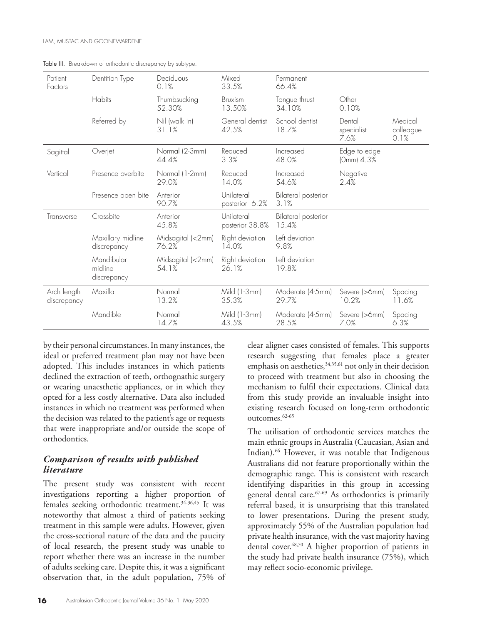| Patient                    | Dentition Type                       | Deciduous<br>0.1%          | Mixed<br>33.5%                | Permanent<br>66.4%                  |                              |                              |
|----------------------------|--------------------------------------|----------------------------|-------------------------------|-------------------------------------|------------------------------|------------------------------|
| Factors                    |                                      |                            |                               |                                     |                              |                              |
|                            | Habits                               | Thumbsucking<br>52.30%     | <b>Bruxism</b><br>13.50%      | Tongue thrust<br>34.10%             | Other<br>0.10%               |                              |
|                            | Referred by                          | Nil (walk in)<br>31.1%     | General dentist<br>42.5%      | School dentist<br>18.7%             | Dental<br>specialist<br>7.6% | Medical<br>colleague<br>0.1% |
| Sagittal                   | Overjet                              | Normal (2-3mm)<br>44.4%    | Reduced<br>3.3%               | Increased<br>48.0%                  | Edge to edge<br>(Omm) 4.3%   |                              |
| Vertical                   | Presence overbite                    | Normal (1-2mm)<br>29.0%    | Reduced<br>14.0%              | Increased<br>54.6%                  | Negative<br>2.4%             |                              |
|                            | Presence open bite                   | Anterior<br>90.7%          | Unilateral<br>posterior 6.2%  | <b>Bilateral posterior</b><br>3.1%  |                              |                              |
| Transverse                 | Crossbite                            | Anterior<br>45.8%          | Unilateral<br>posterior 38.8% | <b>Bilateral posterior</b><br>15.4% |                              |                              |
|                            | Maxillary midline<br>discrepancy     | Midsagital (<2mm)<br>76.2% | Right deviation<br>14.0%      | Left deviation<br>9.8%              |                              |                              |
|                            | Mandibular<br>midline<br>discrepancy | Midsagital (<2mm)<br>54.1% | Right deviation<br>26.1%      | Left deviation<br>19.8%             |                              |                              |
| Arch length<br>discrepancy | Maxilla                              | Normal<br>13.2%            | Mild (1-3mm)<br>35.3%         | Moderate (4-5mm)<br>29.7%           | Severe (>6mm)<br>10.2%       | Spacing<br>11.6%             |
|                            | Mandible                             | Normal<br>14.7%            | Mild (1-3mm)<br>43.5%         | Moderate (4-5mm)<br>28.5%           | Severe (>6mm)<br>7.0%        | Spacing<br>6.3%              |

Table III. Breakdown of orthodontic discrepancy by subtype.

by their personal circumstances. In many instances, the ideal or preferred treatment plan may not have been adopted. This includes instances in which patients declined the extraction of teeth, orthognathic surgery or wearing unaesthetic appliances, or in which they opted for a less costly alternative. Data also included instances in which no treatment was performed when the decision was related to the patient's age or requests that were inappropriate and/or outside the scope of orthodontics.

#### *Comparison of results with published literature*

The present study was consistent with recent investigations reporting a higher proportion of females seeking orthodontic treatment.34-36,45 It was noteworthy that almost a third of patients seeking treatment in this sample were adults. However, given the cross-sectional nature of the data and the paucity of local research, the present study was unable to report whether there was an increase in the number of adults seeking care. Despite this, it was a significant observation that, in the adult population, 75% of clear aligner cases consisted of females. This supports research suggesting that females place a greater emphasis on aesthetics,  $34,35,61$  not only in their decision to proceed with treatment but also in choosing the mechanism to fulfil their expectations. Clinical data from this study provide an invaluable insight into existing research focused on long-term orthodontic outcomes.62-65

The utilisation of orthodontic services matches the main ethnic groups in Australia (Caucasian, Asian and Indian).<sup>66</sup> However, it was notable that Indigenous Australians did not feature proportionally within the demographic range. This is consistent with research identifying disparities in this group in accessing general dental care.<sup>67-69</sup> As orthodontics is primarily referral based, it is unsurprising that this translated to lower presentations. During the present study, approximately 55% of the Australian population had private health insurance, with the vast majority having dental cover.48,70 A higher proportion of patients in the study had private health insurance (75%), which may reflect socio-economic privilege.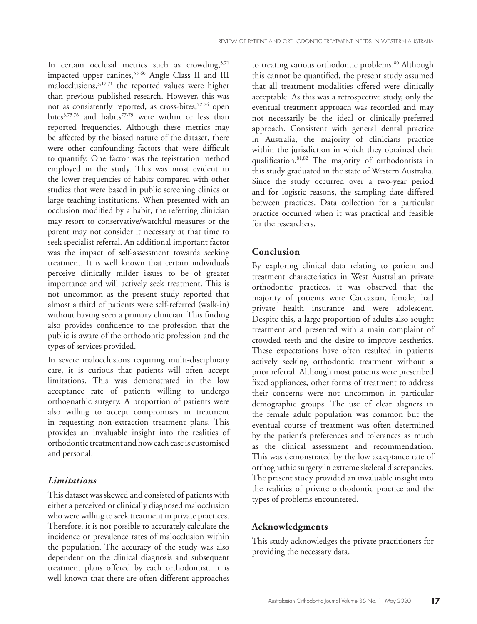In certain occlusal metrics such as crowding, $3,71$ impacted upper canines,<sup>55-60</sup> Angle Class II and III malocclusions,3,17,71 the reported values were higher than previous published research. However, this was not as consistently reported, as cross-bites,72-74 open bites $3,75,76$  and habits $77-79$  were within or less than reported frequencies. Although these metrics may be affected by the biased nature of the dataset, there were other confounding factors that were difficult to quantify. One factor was the registration method employed in the study. This was most evident in the lower frequencies of habits compared with other studies that were based in public screening clinics or large teaching institutions. When presented with an occlusion modified by a habit, the referring clinician may resort to conservative/watchful measures or the parent may not consider it necessary at that time to seek specialist referral. An additional important factor was the impact of self-assessment towards seeking treatment. It is well known that certain individuals perceive clinically milder issues to be of greater importance and will actively seek treatment. This is not uncommon as the present study reported that almost a third of patients were self-referred (walk-in) without having seen a primary clinician. This finding also provides confidence to the profession that the public is aware of the orthodontic profession and the types of services provided.

In severe malocclusions requiring multi-disciplinary care, it is curious that patients will often accept limitations. This was demonstrated in the low acceptance rate of patients willing to undergo orthognathic surgery. A proportion of patients were also willing to accept compromises in treatment in requesting non-extraction treatment plans. This provides an invaluable insight into the realities of orthodontic treatment and how each case is customised and personal.

# *Limitations*

This dataset was skewed and consisted of patients with either a perceived or clinically diagnosed malocclusion who were willing to seek treatment in private practices. Therefore, it is not possible to accurately calculate the incidence or prevalence rates of malocclusion within the population. The accuracy of the study was also dependent on the clinical diagnosis and subsequent treatment plans offered by each orthodontist. It is well known that there are often different approaches

to treating various orthodontic problems.<sup>80</sup> Although this cannot be quantified, the present study assumed that all treatment modalities offered were clinically acceptable. As this was a retrospective study, only the eventual treatment approach was recorded and may not necessarily be the ideal or clinically-preferred approach. Consistent with general dental practice in Australia, the majority of clinicians practice within the jurisdiction in which they obtained their qualification.81,82 The majority of orthodontists in this study graduated in the state of Western Australia. Since the study occurred over a two-year period and for logistic reasons, the sampling date differed between practices. Data collection for a particular practice occurred when it was practical and feasible for the researchers.

# **Conclusion**

By exploring clinical data relating to patient and treatment characteristics in West Australian private orthodontic practices, it was observed that the majority of patients were Caucasian, female, had private health insurance and were adolescent. Despite this, a large proportion of adults also sought treatment and presented with a main complaint of crowded teeth and the desire to improve aesthetics. These expectations have often resulted in patients actively seeking orthodontic treatment without a prior referral. Although most patients were prescribed fixed appliances, other forms of treatment to address their concerns were not uncommon in particular demographic groups. The use of clear aligners in the female adult population was common but the eventual course of treatment was often determined by the patient's preferences and tolerances as much as the clinical assessment and recommendation. This was demonstrated by the low acceptance rate of orthognathic surgery in extreme skeletal discrepancies. The present study provided an invaluable insight into the realities of private orthodontic practice and the types of problems encountered.

# **Acknowledgments**

This study acknowledges the private practitioners for providing the necessary data.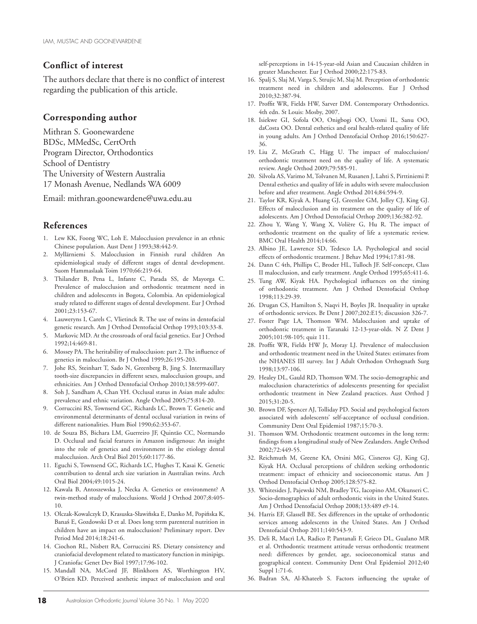#### **Conflict of interest**

The authors declare that there is no conflict of interest regarding the publication of this article.

#### **Corresponding author**

Mithran S. Goonewardene BDSc, MMedSc, CertOrth Program Director, Orthodontics School of Dentistry The University of Western Australia 17 Monash Avenue, Nedlands WA 6009

Email: mithran.goonewardene@uwa.edu.au

#### **References**

- 1. Lew KK, Foong WC, Loh E. Malocclusion prevalence in an ethnic Chinese population. Aust Dent J 1993;38:442-9.
- 2. Myllärniemi S. Malocclusion in Finnish rural children An epidemiological study of different stages of dental development. Suom Hammaslaak Toim 1970;66:219-64.
- 3. Thilander B, Pena L, Infante C, Parada SS, de Mayorga C. Prevalence of malocclusion and orthodontic treatment need in children and adolescents in Bogota, Colombia. An epidemiological study related to different stages of dental development. Eur J Orthod 2001;23:153-67.
- 4. Lauweryns I, Carels C, Vlietinck R. The use of twins in dentofacial genetic research. Am J Orthod Dentofacial Orthop 1993;103:33-8.
- 5. Markovic MD. At the crossroads of oral facial genetics. Eur J Orthod 1992;14:469-81.
- 6. Mossey PA. The heritability of malocclusion: part 2. The influence of genetics in malocclusion. Br J Orthod 1999;26:195-203.
- 7. Johe RS, Steinhart T, Sado N, Greenberg B, Jing S. Intermaxillary tooth-size discrepancies in different sexes, malocclusion groups, and ethnicities. Am J Orthod Dentofacial Orthop 2010;138:599-607.
- 8. Soh J, Sandham A, Chan YH. Occlusal status in Asian male adults: prevalence and ethnic variation. Angle Orthod 2005;75:814-20.
- 9. Corruccini RS, Townsend GC, Richards LC, Brown T. Genetic and environmental determinants of dental occlusal variation in twins of different nationalities. Hum Biol 1990;62:353-67.
- 10. de Souza BS, Bichara LM, Guerreiro JF, Quintão CC, Normando D. Occlusal and facial features in Amazon indigenous: An insight into the role of genetics and environment in the etiology dental malocclusion. Arch Oral Biol 2015;60:1177-86.
- 11. Eguchi S, Townsend GC, Richards LC, Hughes T, Kasai K. Genetic contribution to dental arch size variation in Australian twins. Arch Oral Biol 2004;49:1015-24.
- 12. Kawala B, Antoszewska J, Necka A. Genetics or environment? A twin-method study of malocclusions. World J Orthod 2007;8:405- 10.
- 13. Olczak-Kowalczyk D, Krasuska-Sławińska E, Danko M, Popińska K, Banaś E, Gozdowski D et al. Does long term parenteral nutrition in children have an impact on malocclusion? Preliminary report. Dev Period Med 2014;18:241-6.
- 14. Ciochon RL, Nisbett RA, Corruccini RS. Dietary consistency and craniofacial development related to masticatory function in minipigs. J Craniofac Genet Dev Biol 1997;17:96-102.
- 15. Mandall NA, McCord JF, Blinkhorn AS, Worthington HV, O'Brien KD. Perceived aesthetic impact of malocclusion and oral

self-perceptions in 14-15-year-old Asian and Caucasian children in greater Manchester. Eur J Orthod 2000;22:175-83.

- 16. Spalj S, Slaj M, Varga S, Strujic M, Slaj M. Perception of orthodontic treatment need in children and adolescents. Eur J Orthod 2010;32:387-94.
- 17. Proffit WR, Fields HW, Sarver DM. Contemporary Orthodontics. 4th edn. St Louis: Mosby, 2007.
- 18. Isiekwe GI, Sofola OO, Onigbogi OO, Utomi IL, Sanu OO, daCosta OO. Dental esthetics and oral health-related quality of life in young adults. Am J Orthod Dentofacial Orthop 2016;150:627- 36.
- 19. Liu Z, McGrath C, Hägg U. The impact of malocclusion/ orthodontic treatment need on the quality of life. A systematic review. Angle Orthod 2009;79:585-91.
- 20. Silvola AS, Varimo M, Tolvanen M, Rusanen J, Lahti S, Pirttiniemi P. Dental esthetics and quality of life in adults with severe malocclusion before and after treatment. Angle Orthod 2014;84:594-9.
- 21. Taylor KR, Kiyak A, Huang GJ, Greenlee GM, Jolley CJ, King GJ. Effects of malocclusion and its treatment on the quality of life of adolescents. Am J Orthod Dentofacial Orthop 2009;136:382-92.
- 22. Zhou Y, Wang Y, Wang X, Volière G, Hu R. The impact of orthodontic treatment on the quality of life a systematic review. BMC Oral Health 2014;14:66.
- 23. Albino JE, Lawrence SD, Tedesco LA. Psychological and social effects of orthodontic treatment. J Behav Med 1994;17:81-98.
- 24. Dann C 4th, Phillips C, Broder HL, Tulloch JF. Self-concept, Class II malocclusion, and early treatment. Angle Orthod 1995;65:411-6.
- 25. Tung AW, Kiyak HA. Psychological influences on the timing of orthodontic treatment. Am J Orthod Dentofacial Orthop 1998;113:29-39.
- 26. Drugan CS, Hamilton S, Naqvi H, Boyles JR. Inequality in uptake of orthodontic services. Br Dent J 2007;202:E15; discussion 326-7.
- 27. Foster Page LA, Thomson WM. Malocclusion and uptake of orthodontic treatment in Taranaki 12-13-year-olds. N Z Dent J 2005;101:98-105; quiz 111.
- 28. Proffit WR, Fields HW Jr, Moray LJ. Prevalence of malocclusion and orthodontic treatment need in the United States: estimates from the NHANES III survey. Int J Adult Orthodon Orthognath Surg 1998;13:97-106.
- 29. Healey DL, Gauld RD, Thomson WM. The socio-demographic and malocclusion characteristics of adolescents presenting for specialist orthodontic treatment in New Zealand practices. Aust Orthod J 2015;31:20-5.
- 30. Brown DF, Spencer AJ, Tolliday PD. Social and psychological factors associated with adolescents' self-acceptance of occlusal condition. Community Dent Oral Epidemiol 1987;15:70-3.
- 31. Thomson WM. Orthodontic treatment outcomes in the long term: findings from a longitudinal study of New Zealanders. Angle Orthod 2002;72:449-55.
- 32. Reichmuth M, Greene KA, Orsini MG, Cisneros GJ, King GJ, Kiyak HA. Occlusal perceptions of children seeking orthodontic treatment: impact of ethnicity and socioeconomic status. Am J Orthod Dentofacial Orthop 2005;128:575-82.
- 33. Whitesides J, Pajewski NM, Bradley TG, Iacopino AM, Okunseri C. Socio-demographics of adult orthodontic visits in the United States. Am J Orthod Dentofacial Orthop 2008;133:489 e9-14.
- 34. Harris EF, Glassell BE. Sex differences in the uptake of orthodontic services among adolescents in the United States. Am J Orthod Dentofacial Orthop 2011;140:543-9.
- 35. Deli R, Macrì LA, Radico P, Pantanali F, Grieco DL, Gualano MR et al. Orthodontic treatment attitude versus orthodontic treatment need: differences by gender, age, socioeconomical status and geographical context. Community Dent Oral Epidemiol 2012;40 Suppl 1:71-6.
- 36. Badran SA, Al-Khateeb S. Factors influencing the uptake of